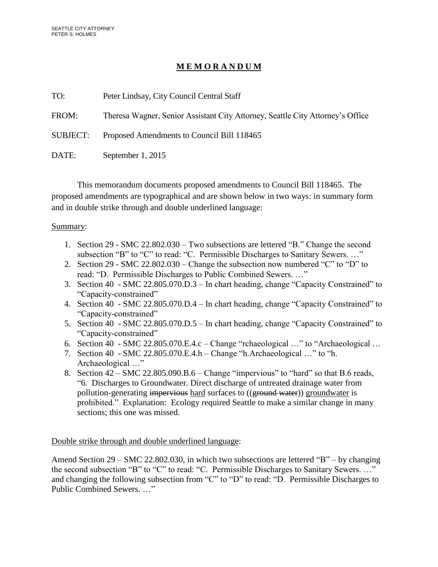## **M E M O R A N D U M**

| TO:      | Peter Lindsay, City Council Central Staff                                      |  |  |
|----------|--------------------------------------------------------------------------------|--|--|
| FROM:    | Theresa Wagner, Senior Assistant City Attorney, Seattle City Attorney's Office |  |  |
| SUBJECT: | Proposed Amendments to Council Bill 118465                                     |  |  |
| DATE:    | September 1, 2015                                                              |  |  |

This memorandum documents proposed amendments to Council Bill 118465. The proposed amendments are typographical and are shown below in two ways: in summary form and in double strike through and double underlined language:

## Summary:

- 1. Section 29 SMC 22.802.030 Two subsections are lettered "B." Change the second subsection "B" to "C" to read: "C. Permissible Discharges to Sanitary Sewers. …"
- 2. Section 29 SMC 22.802.030 Change the subsection now numbered "C" to "D" to read: "D. Permissible Discharges to Public Combined Sewers. …"
- 3. Section 40 SMC 22.805.070.D.3 In chart heading, change "Capacity Constrained" to "Capacity-constrained"
- 4. Section 40 SMC 22.805.070.D.4 In chart heading, change "Capacity Constrained" to "Capacity-constrained"
- 5. Section 40 SMC 22.805.070.D.5 In chart heading, change "Capacity Constrained" to "Capacity-constrained"
- 6. Section 40 SMC 22.805.070.E.4.c Change "rchaeological …" to "Archaeological …
- 7. Section 40 SMC 22.805.070.E.4.h Change "h.Archaeological …" to "h. Archaeological …"
- 8. Section 42 SMC 22.805.090.B.6 Change "impervious" to "hard" so that B.6 reads, "6. Discharges to Groundwater. Direct discharge of untreated drainage water from pollution-generating impervious hard surfaces to ((ground water)) groundwater is prohibited." Explanation: Ecology required Seattle to make a similar change in many sections; this one was missed.

Double strike through and double underlined language:

Amend Section 29 – SMC 22.802.030, in which two subsections are lettered "B" – by changing the second subsection "B" to "C" to read: "C. Permissible Discharges to Sanitary Sewers. …" and changing the following subsection from "C" to "D" to read: "D. Permissible Discharges to Public Combined Sewers. …"